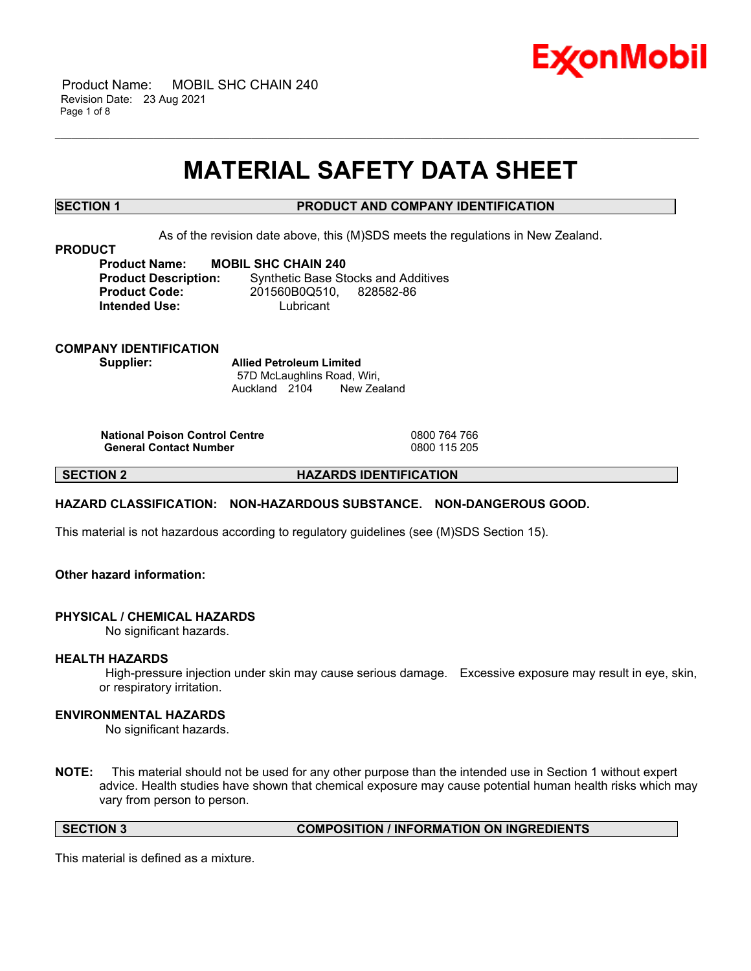

 Product Name: MOBIL SHC CHAIN 240 Revision Date: 23 Aug 2021 Page 1 of 8

## **MATERIAL SAFETY DATA SHEET**

\_\_\_\_\_\_\_\_\_\_\_\_\_\_\_\_\_\_\_\_\_\_\_\_\_\_\_\_\_\_\_\_\_\_\_\_\_\_\_\_\_\_\_\_\_\_\_\_\_\_\_\_\_\_\_\_\_\_\_\_\_\_\_\_\_\_\_\_\_\_\_\_\_\_\_\_\_\_\_\_\_\_\_\_\_\_\_\_\_\_\_\_\_\_\_\_\_\_\_\_\_\_\_\_\_\_\_\_\_\_\_\_\_\_\_\_\_\_

## **SECTION 1 PRODUCT AND COMPANY IDENTIFICATION**

As of the revision date above, this (M)SDS meets the regulations in New Zealand.

#### **PRODUCT**

**Product Name: MOBIL SHC CHAIN 240 Intended Use:** Lubricant

**Product Description:** Synthetic Base Stocks and Additives **Product Code:** 201560B0Q510, 828582-86

**COMPANY IDENTIFICATION Supplier: Allied Petroleum Limited**

57D McLaughlins Road, Wiri, Auckland 2104 New Zealand

**National Poison Control Centre** 0800 764 766 **General Contact Number** 

**SECTION 2 HAZARDS IDENTIFICATION**

#### **HAZARD CLASSIFICATION: NON-HAZARDOUS SUBSTANCE. NON-DANGEROUS GOOD.**

This material is not hazardous according to regulatory guidelines (see (M)SDS Section 15).

## **Other hazard information:**

#### **PHYSICAL / CHEMICAL HAZARDS**

No significant hazards.

#### **HEALTH HAZARDS**

High-pressure injection under skin may cause serious damage. Excessive exposure may result in eye, skin, or respiratory irritation.

#### **ENVIRONMENTAL HAZARDS**

No significant hazards.

**NOTE:** This material should not be used for any other purpose than the intended use in Section 1 without expert advice. Health studies have shown that chemical exposure may cause potential human health risks which may vary from person to person.

**SECTION 3 COMPOSITION / INFORMATION ON INGREDIENTS**

This material is defined as a mixture.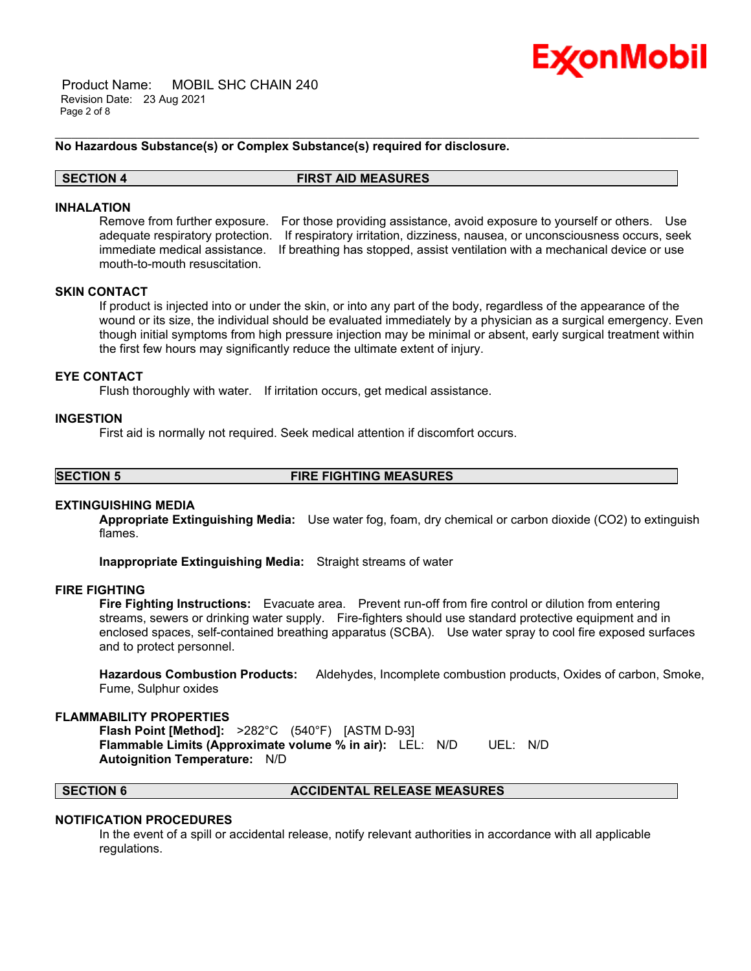

 Product Name: MOBIL SHC CHAIN 240 Revision Date: 23 Aug 2021 Page 2 of 8

#### **No Hazardous Substance(s) or Complex Substance(s) required for disclosure.**

#### **SECTION 4 FIRST AID MEASURES**

#### **INHALATION**

Remove from further exposure. For those providing assistance, avoid exposure to yourself or others. Use adequate respiratory protection. If respiratory irritation, dizziness, nausea, or unconsciousness occurs, seek immediate medical assistance. If breathing has stopped, assist ventilation with a mechanical device or use mouth-to-mouth resuscitation.

\_\_\_\_\_\_\_\_\_\_\_\_\_\_\_\_\_\_\_\_\_\_\_\_\_\_\_\_\_\_\_\_\_\_\_\_\_\_\_\_\_\_\_\_\_\_\_\_\_\_\_\_\_\_\_\_\_\_\_\_\_\_\_\_\_\_\_\_\_\_\_\_\_\_\_\_\_\_\_\_\_\_\_\_\_\_\_\_\_\_\_\_\_\_\_\_\_\_\_\_\_\_\_\_\_\_\_\_\_\_\_\_\_\_\_\_\_\_

#### **SKIN CONTACT**

If product is injected into or under the skin, or into any part of the body, regardless of the appearance of the wound or its size, the individual should be evaluated immediately by a physician as a surgical emergency. Even though initial symptoms from high pressure injection may be minimal or absent, early surgical treatment within the first few hours may significantly reduce the ultimate extent of injury.

#### **EYE CONTACT**

Flush thoroughly with water. If irritation occurs, get medical assistance.

#### **INGESTION**

First aid is normally not required. Seek medical attention if discomfort occurs.

**SECTION 5 FIRE FIGHTING MEASURES**

#### **EXTINGUISHING MEDIA**

**Appropriate Extinguishing Media:** Use water fog, foam, dry chemical or carbon dioxide (CO2) to extinguish flames.

**Inappropriate Extinguishing Media:** Straight streams of water

#### **FIRE FIGHTING**

**Fire Fighting Instructions:** Evacuate area. Prevent run-off from fire control or dilution from entering streams, sewers or drinking water supply. Fire-fighters should use standard protective equipment and in enclosed spaces, self-contained breathing apparatus (SCBA). Use water spray to cool fire exposed surfaces and to protect personnel.

**Hazardous Combustion Products:** Aldehydes, Incomplete combustion products, Oxides of carbon, Smoke, Fume, Sulphur oxides

#### **FLAMMABILITY PROPERTIES**

**Flash Point [Method]:** >282°C (540°F) [ASTM D-93] **Flammable Limits (Approximate volume % in air):** LEL: N/D UEL: N/D **Autoignition Temperature:** N/D

#### **SECTION 6 ACCIDENTAL RELEASE MEASURES**

#### **NOTIFICATION PROCEDURES**

In the event of a spill or accidental release, notify relevant authorities in accordance with all applicable regulations.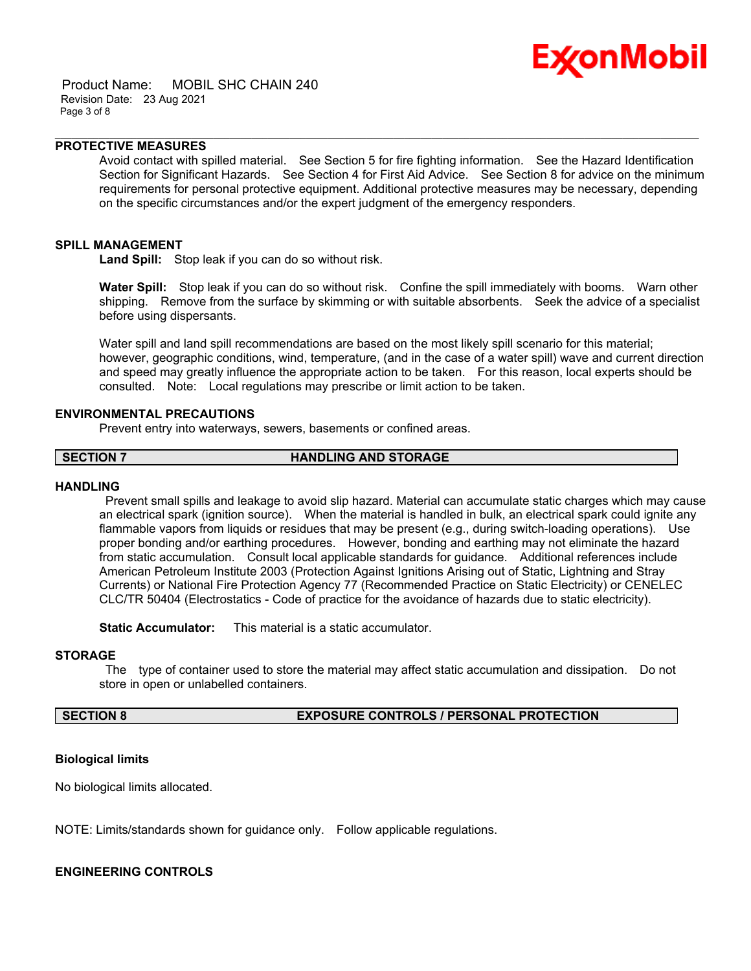

 Product Name: MOBIL SHC CHAIN 240 Revision Date: 23 Aug 2021 Page 3 of 8

#### **PROTECTIVE MEASURES**

Avoid contact with spilled material. See Section 5 for fire fighting information. See the Hazard Identification Section for Significant Hazards. See Section 4 for First Aid Advice. See Section 8 for advice on the minimum requirements for personal protective equipment. Additional protective measures may be necessary, depending on the specific circumstances and/or the expert judgment of the emergency responders.

\_\_\_\_\_\_\_\_\_\_\_\_\_\_\_\_\_\_\_\_\_\_\_\_\_\_\_\_\_\_\_\_\_\_\_\_\_\_\_\_\_\_\_\_\_\_\_\_\_\_\_\_\_\_\_\_\_\_\_\_\_\_\_\_\_\_\_\_\_\_\_\_\_\_\_\_\_\_\_\_\_\_\_\_\_\_\_\_\_\_\_\_\_\_\_\_\_\_\_\_\_\_\_\_\_\_\_\_\_\_\_\_\_\_\_\_\_\_

#### **SPILL MANAGEMENT**

**Land Spill:** Stop leak if you can do so without risk.

**Water Spill:** Stop leak if you can do so without risk. Confine the spill immediately with booms. Warn other shipping. Remove from the surface by skimming or with suitable absorbents. Seek the advice of a specialist before using dispersants.

Water spill and land spill recommendations are based on the most likely spill scenario for this material; however, geographic conditions, wind, temperature, (and in the case of a water spill) wave and current direction and speed may greatly influence the appropriate action to be taken. For this reason, local experts should be consulted. Note: Local regulations may prescribe or limit action to be taken.

#### **ENVIRONMENTAL PRECAUTIONS**

Prevent entry into waterways, sewers, basements or confined areas.

**SECTION 7 HANDLING AND STORAGE**

#### **HANDLING**

Prevent small spills and leakage to avoid slip hazard. Material can accumulate static charges which may cause an electrical spark (ignition source). When the material is handled in bulk, an electrical spark could ignite any flammable vapors from liquids or residues that may be present (e.g., during switch-loading operations). Use proper bonding and/or earthing procedures. However, bonding and earthing may not eliminate the hazard from static accumulation. Consult local applicable standards for guidance. Additional references include American Petroleum Institute 2003 (Protection Against Ignitions Arising out of Static, Lightning and Stray Currents) or National Fire Protection Agency 77 (Recommended Practice on Static Electricity) or CENELEC CLC/TR 50404 (Electrostatics - Code of practice for the avoidance of hazards due to static electricity).

**Static Accumulator:** This material is a static accumulator.

## **STORAGE**

The type of container used to store the material may affect static accumulation and dissipation. Do not store in open or unlabelled containers.

## **SECTION 8 EXPOSURE CONTROLS / PERSONAL PROTECTION**

#### **Biological limits**

No biological limits allocated.

NOTE: Limits/standards shown for guidance only. Follow applicable regulations.

#### **ENGINEERING CONTROLS**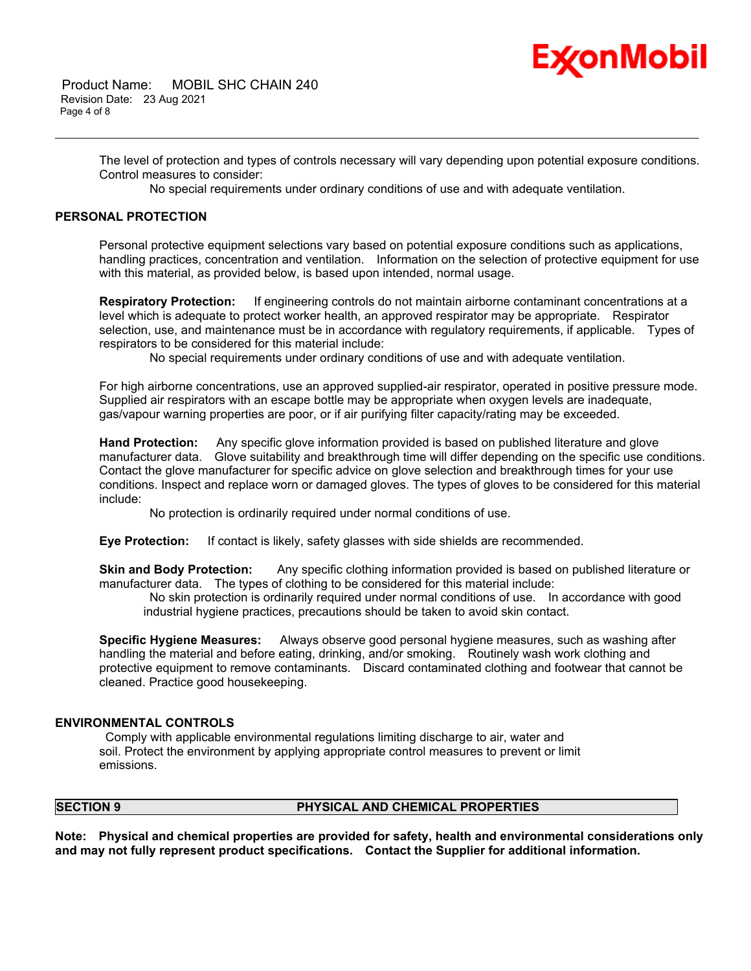# Ex⁄onMobil

The level of protection and types of controls necessary will vary depending upon potential exposure conditions. Control measures to consider:

No special requirements under ordinary conditions of use and with adequate ventilation.

\_\_\_\_\_\_\_\_\_\_\_\_\_\_\_\_\_\_\_\_\_\_\_\_\_\_\_\_\_\_\_\_\_\_\_\_\_\_\_\_\_\_\_\_\_\_\_\_\_\_\_\_\_\_\_\_\_\_\_\_\_\_\_\_\_\_\_\_\_\_\_\_\_\_\_\_\_\_\_\_\_\_\_\_\_\_\_\_\_\_\_\_\_\_\_\_\_\_\_\_\_\_\_\_\_\_\_\_\_\_\_\_\_\_\_\_\_\_

#### **PERSONAL PROTECTION**

Personal protective equipment selections vary based on potential exposure conditions such as applications, handling practices, concentration and ventilation. Information on the selection of protective equipment for use with this material, as provided below, is based upon intended, normal usage.

**Respiratory Protection:** If engineering controls do not maintain airborne contaminant concentrations at a level which is adequate to protect worker health, an approved respirator may be appropriate. Respirator selection, use, and maintenance must be in accordance with regulatory requirements, if applicable. Types of respirators to be considered for this material include:

No special requirements under ordinary conditions of use and with adequate ventilation.

For high airborne concentrations, use an approved supplied-air respirator, operated in positive pressure mode. Supplied air respirators with an escape bottle may be appropriate when oxygen levels are inadequate, gas/vapour warning properties are poor, or if air purifying filter capacity/rating may be exceeded.

**Hand Protection:** Any specific glove information provided is based on published literature and glove manufacturer data. Glove suitability and breakthrough time will differ depending on the specific use conditions. Contact the glove manufacturer for specific advice on glove selection and breakthrough times for your use conditions. Inspect and replace worn or damaged gloves. The types of gloves to be considered for this material include:

No protection is ordinarily required under normal conditions of use.

**Eye Protection:** If contact is likely, safety glasses with side shields are recommended.

**Skin and Body Protection:** Any specific clothing information provided is based on published literature or manufacturer data. The types of clothing to be considered for this material include:

No skin protection is ordinarily required under normal conditions of use. In accordance with good industrial hygiene practices, precautions should be taken to avoid skin contact.

**Specific Hygiene Measures:** Always observe good personal hygiene measures, such as washing after handling the material and before eating, drinking, and/or smoking. Routinely wash work clothing and protective equipment to remove contaminants. Discard contaminated clothing and footwear that cannot be cleaned. Practice good housekeeping.

#### **ENVIRONMENTAL CONTROLS**

Comply with applicable environmental regulations limiting discharge to air, water and soil. Protect the environment by applying appropriate control measures to prevent or limit emissions.

## **SECTION 9 PHYSICAL AND CHEMICAL PROPERTIES**

**Note: Physical and chemical properties are provided for safety, health and environmental considerations only and may not fully represent product specifications. Contact the Supplier for additional information.**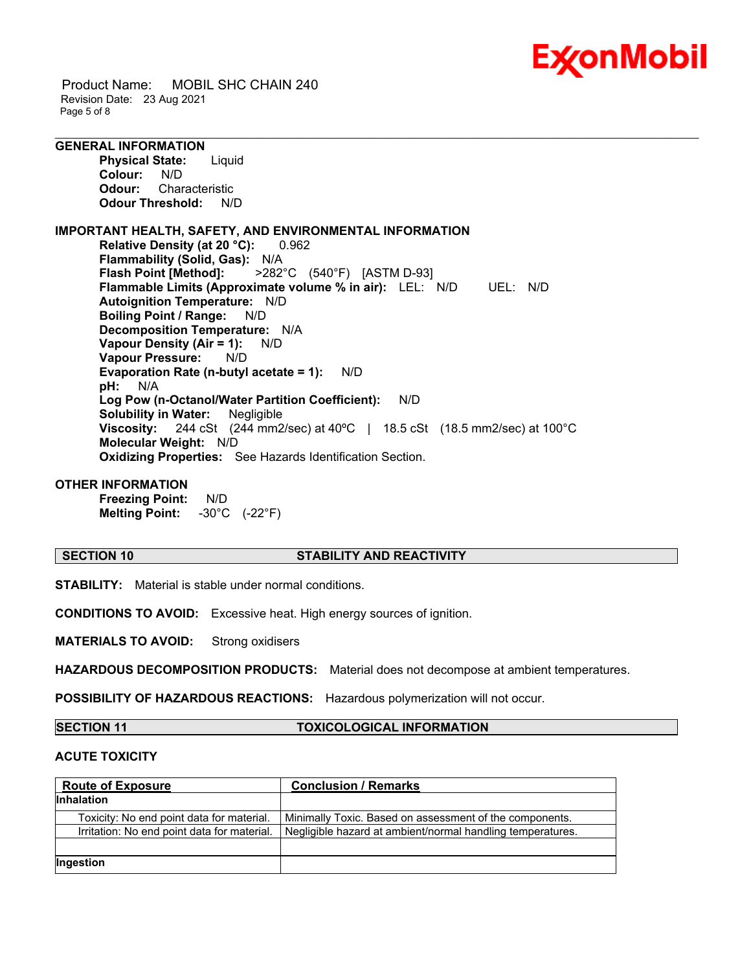

 Product Name: MOBIL SHC CHAIN 240 Revision Date: 23 Aug 2021 Page 5 of 8

**GENERAL INFORMATION Physical State:** Liquid

**Colour:** N/D<br>**Odour:** Char **Odour:** Characteristic **Odour Threshold:** N/D

**IMPORTANT HEALTH, SAFETY, AND ENVIRONMENTAL INFORMATION Relative Density (at 20 °C):** 0.962 **Flammability (Solid, Gas): N/A**<br>**Flash Point [Method]: >282 Flash Point [Method]:** >282°C (540°F) [ASTM D-93] **Flammable Limits (Approximate volume % in air):** LEL: N/D UEL: N/D **Autoignition Temperature:** N/D **Boiling Point / Range:** N/D **Decomposition Temperature:** N/A **Vapour Density (Air = 1):** N/D **Vapour Pressure:** N/D **Evaporation Rate (n-butyl acetate = 1):** N/D **pH:** N/A **Log Pow (n-Octanol/Water Partition Coefficient):** N/D **Solubility in Water:** Negligible **Viscosity:** 244 cSt (244 mm2/sec) at 40ºC | 18.5 cSt (18.5 mm2/sec) at 100°C **Molecular Weight:** N/D **Oxidizing Properties:** See Hazards Identification Section.

#### **OTHER INFORMATION**

**Freezing Point:** N/D **Melting Point:** -30°C (-22°F)

### **SECTION 10 STABILITY AND REACTIVITY**

\_\_\_\_\_\_\_\_\_\_\_\_\_\_\_\_\_\_\_\_\_\_\_\_\_\_\_\_\_\_\_\_\_\_\_\_\_\_\_\_\_\_\_\_\_\_\_\_\_\_\_\_\_\_\_\_\_\_\_\_\_\_\_\_\_\_\_\_\_\_\_\_\_\_\_\_\_\_\_\_\_\_\_\_\_\_\_\_\_\_\_\_\_\_\_\_\_\_\_\_\_\_\_\_\_\_\_\_\_\_\_\_\_\_\_\_\_\_

**STABILITY:** Material is stable under normal conditions.

**CONDITIONS TO AVOID:** Excessive heat. High energy sources of ignition.

**MATERIALS TO AVOID:** Strong oxidisers

**HAZARDOUS DECOMPOSITION PRODUCTS:** Material does not decompose at ambient temperatures.

**POSSIBILITY OF HAZARDOUS REACTIONS:** Hazardous polymerization will not occur.

**SECTION 11 TOXICOLOGICAL INFORMATION**

### **ACUTE TOXICITY**

| <b>Route of Exposure</b>                    | <b>Conclusion / Remarks</b>                                |
|---------------------------------------------|------------------------------------------------------------|
| <b>Inhalation</b>                           |                                                            |
| Toxicity: No end point data for material.   | Minimally Toxic. Based on assessment of the components.    |
| Irritation: No end point data for material. | Negligible hazard at ambient/normal handling temperatures. |
|                                             |                                                            |
| Ingestion                                   |                                                            |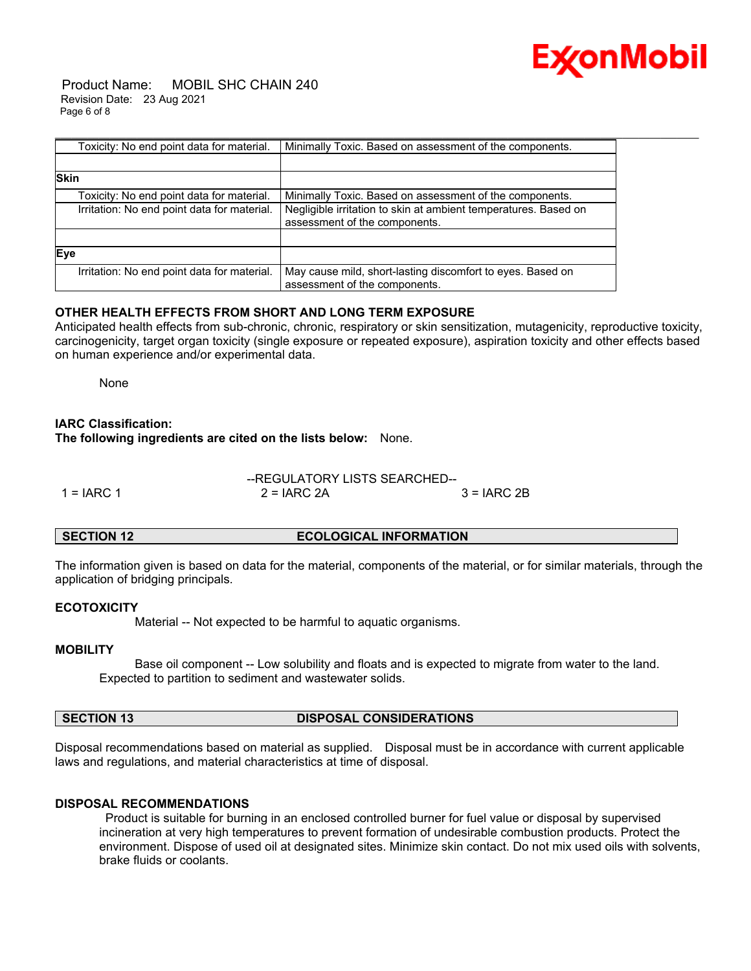

 Product Name: MOBIL SHC CHAIN 240 Revision Date: 23 Aug 2021 Page 6 of 8

| Toxicity: No end point data for material.   | Minimally Toxic. Based on assessment of the components.                                          |
|---------------------------------------------|--------------------------------------------------------------------------------------------------|
|                                             |                                                                                                  |
| <b>Skin</b>                                 |                                                                                                  |
| Toxicity: No end point data for material.   | Minimally Toxic. Based on assessment of the components.                                          |
| Irritation: No end point data for material. | Negligible irritation to skin at ambient temperatures. Based on<br>assessment of the components. |
|                                             |                                                                                                  |
| Eye                                         |                                                                                                  |
| Irritation: No end point data for material. | May cause mild, short-lasting discomfort to eyes. Based on<br>assessment of the components.      |

## **OTHER HEALTH EFFECTS FROM SHORT AND LONG TERM EXPOSURE**

Anticipated health effects from sub-chronic, chronic, respiratory or skin sensitization, mutagenicity, reproductive toxicity, carcinogenicity, target organ toxicity (single exposure or repeated exposure), aspiration toxicity and other effects based on human experience and/or experimental data.

None

#### **IARC Classification:**

**The following ingredients are cited on the lists below:** None.

#### --REGULATORY LISTS SEARCHED--  $1 = IARC 1$   $2 = IARC 2A$   $3 = IARC 2B$

#### **SECTION 12 ECOLOGICAL INFORMATION**

The information given is based on data for the material, components of the material, or for similar materials, through the application of bridging principals.

#### **ECOTOXICITY**

Material -- Not expected to be harmful to aquatic organisms.

#### **MOBILITY**

 Base oil component -- Low solubility and floats and is expected to migrate from water to the land. Expected to partition to sediment and wastewater solids.

## **SECTION 13 DISPOSAL CONSIDERATIONS**

Disposal recommendations based on material as supplied. Disposal must be in accordance with current applicable laws and regulations, and material characteristics at time of disposal.

## **DISPOSAL RECOMMENDATIONS**

Product is suitable for burning in an enclosed controlled burner for fuel value or disposal by supervised incineration at very high temperatures to prevent formation of undesirable combustion products. Protect the environment. Dispose of used oil at designated sites. Minimize skin contact. Do not mix used oils with solvents, brake fluids or coolants.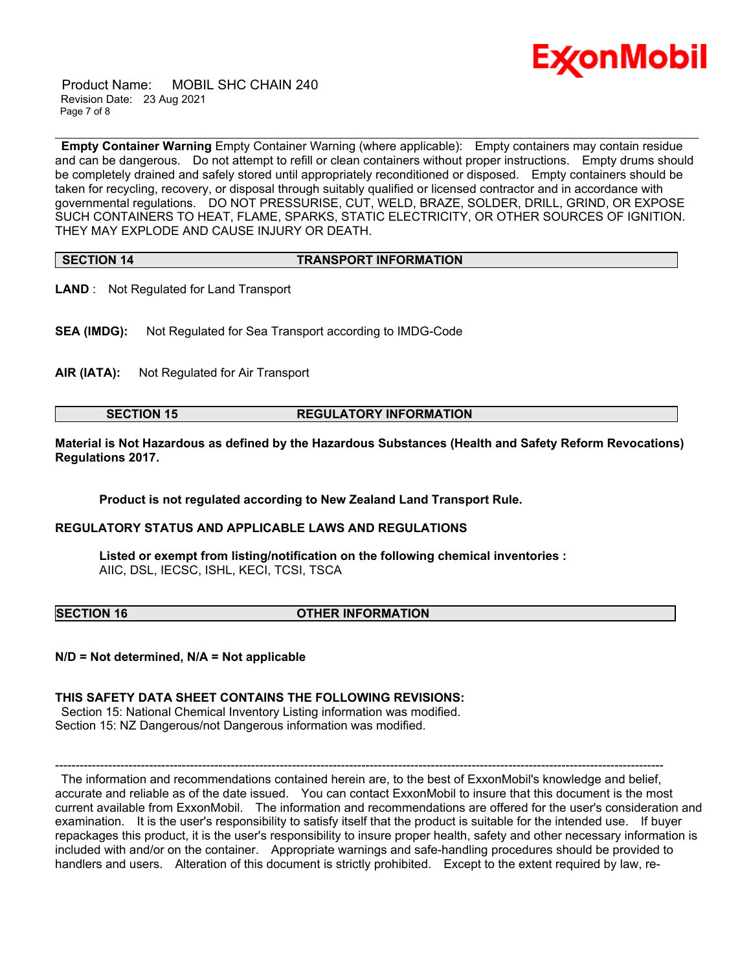

 Product Name: MOBIL SHC CHAIN 240 Revision Date: 23 Aug 2021 Page 7 of 8

**Empty Container Warning** Empty Container Warning (where applicable): Empty containers may contain residue and can be dangerous. Do not attempt to refill or clean containers without proper instructions. Empty drums should be completely drained and safely stored until appropriately reconditioned or disposed. Empty containers should be taken for recycling, recovery, or disposal through suitably qualified or licensed contractor and in accordance with governmental regulations. DO NOT PRESSURISE, CUT, WELD, BRAZE, SOLDER, DRILL, GRIND, OR EXPOSE SUCH CONTAINERS TO HEAT, FLAME, SPARKS, STATIC ELECTRICITY, OR OTHER SOURCES OF IGNITION. THEY MAY EXPLODE AND CAUSE INJURY OR DEATH.

\_\_\_\_\_\_\_\_\_\_\_\_\_\_\_\_\_\_\_\_\_\_\_\_\_\_\_\_\_\_\_\_\_\_\_\_\_\_\_\_\_\_\_\_\_\_\_\_\_\_\_\_\_\_\_\_\_\_\_\_\_\_\_\_\_\_\_\_\_\_\_\_\_\_\_\_\_\_\_\_\_\_\_\_\_\_\_\_\_\_\_\_\_\_\_\_\_\_\_\_\_\_\_\_\_\_\_\_\_\_\_\_\_\_\_\_\_\_

## **SECTION 14 TRANSPORT INFORMATION**

- **LAND** : Not Regulated for Land Transport
- **SEA (IMDG):** Not Regulated for Sea Transport according to IMDG-Code
- **AIR (IATA):** Not Regulated for Air Transport

#### **SECTION 15 REGULATORY INFORMATION**

**Material is Not Hazardous as defined by the Hazardous Substances (Health and Safety Reform Revocations) Regulations 2017.**

**Product is not regulated according to New Zealand Land Transport Rule.**

#### **REGULATORY STATUS AND APPLICABLE LAWS AND REGULATIONS**

**Listed or exempt from listing/notification on the following chemical inventories :**  AIIC, DSL, IECSC, ISHL, KECI, TCSI, TSCA

**SECTION 16 OTHER INFORMATION**

**N/D = Not determined, N/A = Not applicable**

#### **THIS SAFETY DATA SHEET CONTAINS THE FOLLOWING REVISIONS:**

Section 15: National Chemical Inventory Listing information was modified. Section 15: NZ Dangerous/not Dangerous information was modified.

----------------------------------------------------------------------------------------------------------------------------------------------------- The information and recommendations contained herein are, to the best of ExxonMobil's knowledge and belief, accurate and reliable as of the date issued. You can contact ExxonMobil to insure that this document is the most current available from ExxonMobil. The information and recommendations are offered for the user's consideration and examination. It is the user's responsibility to satisfy itself that the product is suitable for the intended use. If buyer repackages this product, it is the user's responsibility to insure proper health, safety and other necessary information is included with and/or on the container. Appropriate warnings and safe-handling procedures should be provided to handlers and users. Alteration of this document is strictly prohibited. Except to the extent required by law, re-